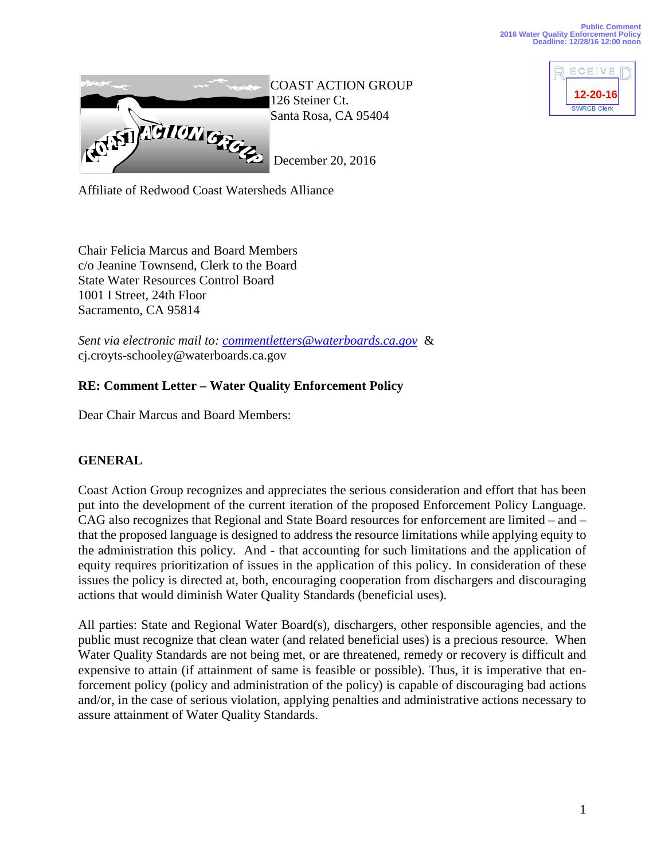

ECEIVE **12-14-16 12-20-16**SWRCB Clerk

Affiliate of Redwood Coast Watersheds Alliance

Chair Felicia Marcus and Board Members c/o Jeanine Townsend, Clerk to the Board State Water Resources Control Board 1001 I Street, 24th Floor Sacramento, CA 95814

*Sent via electronic mail to: [commentletters@waterboards.ca.gov](mailto:commentletters@waterboards.ca.gov)* & cj.croyts-schooley@waterboards.ca.gov

# **RE: Comment Letter – Water Quality Enforcement Policy**

Dear Chair Marcus and Board Members:

## **GENERAL**

Coast Action Group recognizes and appreciates the serious consideration and effort that has been put into the development of the current iteration of the proposed Enforcement Policy Language. CAG also recognizes that Regional and State Board resources for enforcement are limited – and – that the proposed language is designed to address the resource limitations while applying equity to the administration this policy. And - that accounting for such limitations and the application of equity requires prioritization of issues in the application of this policy. In consideration of these issues the policy is directed at, both, encouraging cooperation from dischargers and discouraging actions that would diminish Water Quality Standards (beneficial uses).

All parties: State and Regional Water Board(s), dischargers, other responsible agencies, and the public must recognize that clean water (and related beneficial uses) is a precious resource. When Water Quality Standards are not being met, or are threatened, remedy or recovery is difficult and expensive to attain (if attainment of same is feasible or possible). Thus, it is imperative that enforcement policy (policy and administration of the policy) is capable of discouraging bad actions and/or, in the case of serious violation, applying penalties and administrative actions necessary to assure attainment of Water Quality Standards.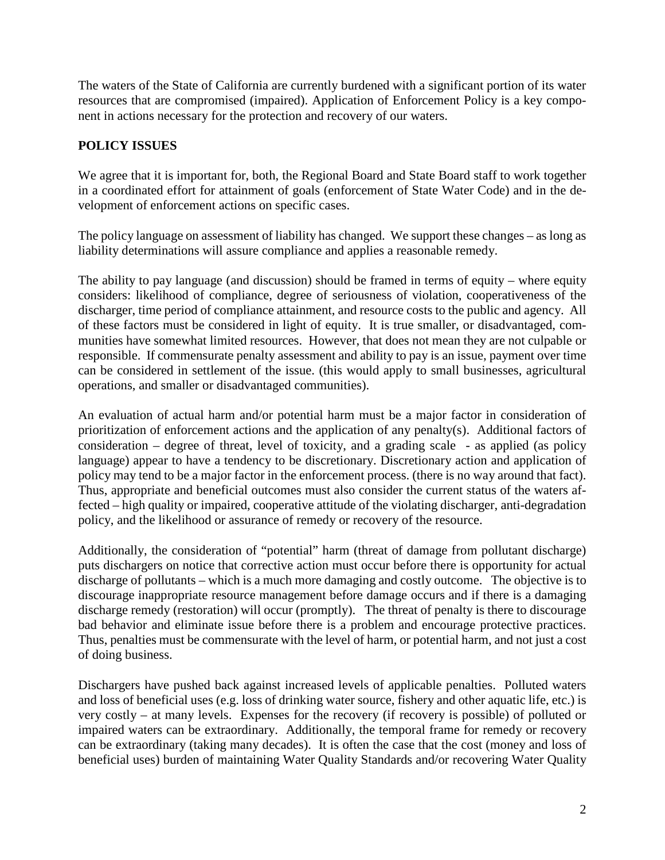The waters of the State of California are currently burdened with a significant portion of its water resources that are compromised (impaired). Application of Enforcement Policy is a key component in actions necessary for the protection and recovery of our waters.

## **POLICY ISSUES**

We agree that it is important for, both, the Regional Board and State Board staff to work together in a coordinated effort for attainment of goals (enforcement of State Water Code) and in the development of enforcement actions on specific cases.

The policy language on assessment of liability has changed. We support these changes – as long as liability determinations will assure compliance and applies a reasonable remedy.

The ability to pay language (and discussion) should be framed in terms of equity – where equity considers: likelihood of compliance, degree of seriousness of violation, cooperativeness of the discharger, time period of compliance attainment, and resource costs to the public and agency. All of these factors must be considered in light of equity. It is true smaller, or disadvantaged, communities have somewhat limited resources. However, that does not mean they are not culpable or responsible. If commensurate penalty assessment and ability to pay is an issue, payment over time can be considered in settlement of the issue. (this would apply to small businesses, agricultural operations, and smaller or disadvantaged communities).

An evaluation of actual harm and/or potential harm must be a major factor in consideration of prioritization of enforcement actions and the application of any penalty(s). Additional factors of consideration – degree of threat, level of toxicity, and a grading scale - as applied (as policy language) appear to have a tendency to be discretionary. Discretionary action and application of policy may tend to be a major factor in the enforcement process. (there is no way around that fact). Thus, appropriate and beneficial outcomes must also consider the current status of the waters affected – high quality or impaired, cooperative attitude of the violating discharger, anti-degradation policy, and the likelihood or assurance of remedy or recovery of the resource.

Additionally, the consideration of "potential" harm (threat of damage from pollutant discharge) puts dischargers on notice that corrective action must occur before there is opportunity for actual discharge of pollutants – which is a much more damaging and costly outcome. The objective is to discourage inappropriate resource management before damage occurs and if there is a damaging discharge remedy (restoration) will occur (promptly). The threat of penalty is there to discourage bad behavior and eliminate issue before there is a problem and encourage protective practices. Thus, penalties must be commensurate with the level of harm, or potential harm, and not just a cost of doing business.

Dischargers have pushed back against increased levels of applicable penalties. Polluted waters and loss of beneficial uses (e.g. loss of drinking water source, fishery and other aquatic life, etc.) is very costly – at many levels. Expenses for the recovery (if recovery is possible) of polluted or impaired waters can be extraordinary. Additionally, the temporal frame for remedy or recovery can be extraordinary (taking many decades). It is often the case that the cost (money and loss of beneficial uses) burden of maintaining Water Quality Standards and/or recovering Water Quality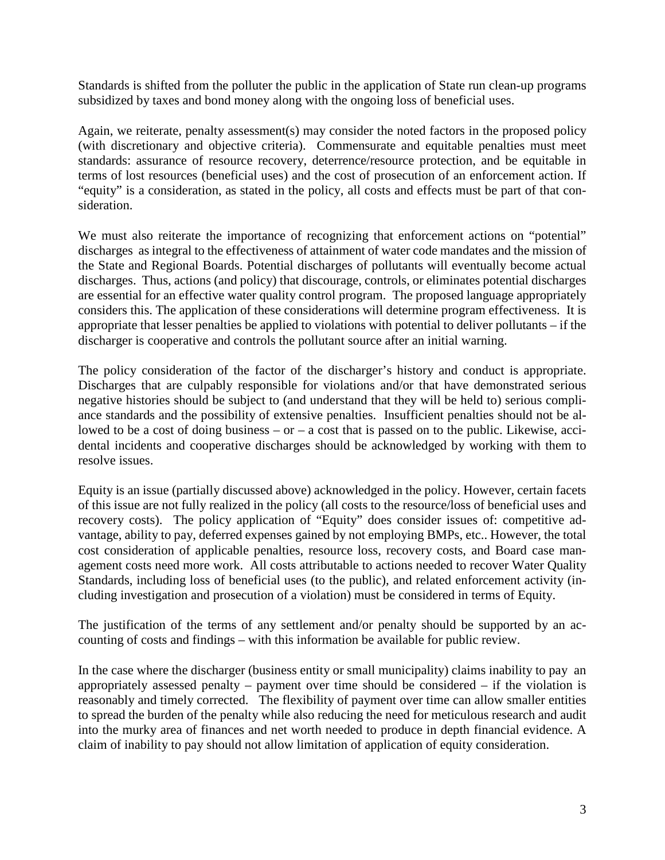Standards is shifted from the polluter the public in the application of State run clean-up programs subsidized by taxes and bond money along with the ongoing loss of beneficial uses.

Again, we reiterate, penalty assessment(s) may consider the noted factors in the proposed policy (with discretionary and objective criteria). Commensurate and equitable penalties must meet standards: assurance of resource recovery, deterrence/resource protection, and be equitable in terms of lost resources (beneficial uses) and the cost of prosecution of an enforcement action. If "equity" is a consideration, as stated in the policy, all costs and effects must be part of that consideration.

We must also reiterate the importance of recognizing that enforcement actions on "potential" discharges as integral to the effectiveness of attainment of water code mandates and the mission of the State and Regional Boards. Potential discharges of pollutants will eventually become actual discharges. Thus, actions (and policy) that discourage, controls, or eliminates potential discharges are essential for an effective water quality control program. The proposed language appropriately considers this. The application of these considerations will determine program effectiveness. It is appropriate that lesser penalties be applied to violations with potential to deliver pollutants – if the discharger is cooperative and controls the pollutant source after an initial warning.

The policy consideration of the factor of the discharger's history and conduct is appropriate. Discharges that are culpably responsible for violations and/or that have demonstrated serious negative histories should be subject to (and understand that they will be held to) serious compliance standards and the possibility of extensive penalties. Insufficient penalties should not be allowed to be a cost of doing business  $-$  or  $-$  a cost that is passed on to the public. Likewise, accidental incidents and cooperative discharges should be acknowledged by working with them to resolve issues.

Equity is an issue (partially discussed above) acknowledged in the policy. However, certain facets of this issue are not fully realized in the policy (all costs to the resource/loss of beneficial uses and recovery costs). The policy application of "Equity" does consider issues of: competitive advantage, ability to pay, deferred expenses gained by not employing BMPs, etc.. However, the total cost consideration of applicable penalties, resource loss, recovery costs, and Board case management costs need more work. All costs attributable to actions needed to recover Water Quality Standards, including loss of beneficial uses (to the public), and related enforcement activity (including investigation and prosecution of a violation) must be considered in terms of Equity.

The justification of the terms of any settlement and/or penalty should be supported by an accounting of costs and findings – with this information be available for public review.

In the case where the discharger (business entity or small municipality) claims inability to pay an appropriately assessed penalty – payment over time should be considered – if the violation is reasonably and timely corrected. The flexibility of payment over time can allow smaller entities to spread the burden of the penalty while also reducing the need for meticulous research and audit into the murky area of finances and net worth needed to produce in depth financial evidence. A claim of inability to pay should not allow limitation of application of equity consideration.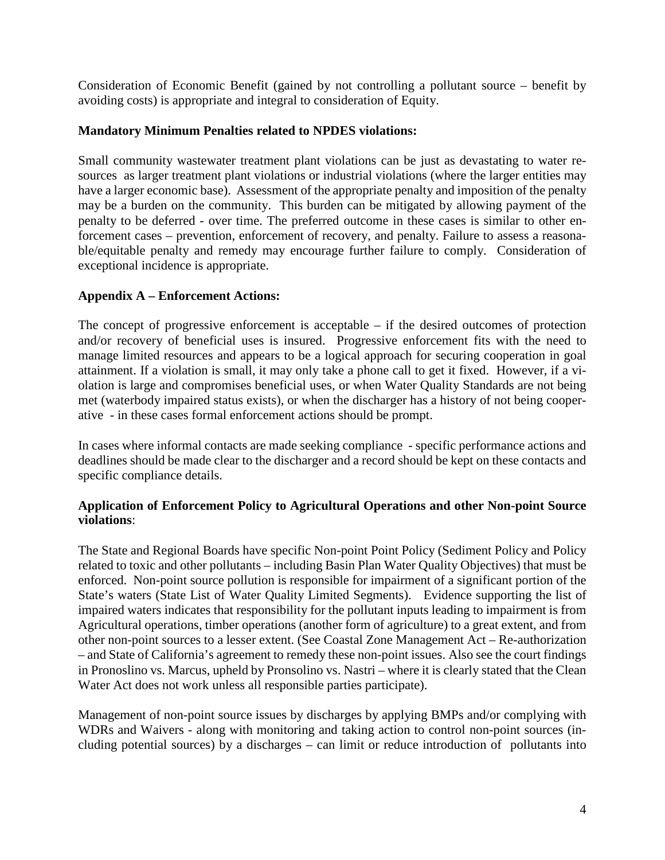Consideration of Economic Benefit (gained by not controlling a pollutant source – benefit by avoiding costs) is appropriate and integral to consideration of Equity.

#### **Mandatory Minimum Penalties related to NPDES violations:**

Small community wastewater treatment plant violations can be just as devastating to water resources as larger treatment plant violations or industrial violations (where the larger entities may have a larger economic base). Assessment of the appropriate penalty and imposition of the penalty may be a burden on the community. This burden can be mitigated by allowing payment of the penalty to be deferred - over time. The preferred outcome in these cases is similar to other enforcement cases – prevention, enforcement of recovery, and penalty. Failure to assess a reasonable/equitable penalty and remedy may encourage further failure to comply. Consideration of exceptional incidence is appropriate.

### **Appendix A – Enforcement Actions:**

The concept of progressive enforcement is acceptable – if the desired outcomes of protection and/or recovery of beneficial uses is insured. Progressive enforcement fits with the need to manage limited resources and appears to be a logical approach for securing cooperation in goal attainment. If a violation is small, it may only take a phone call to get it fixed. However, if a violation is large and compromises beneficial uses, or when Water Quality Standards are not being met (waterbody impaired status exists), or when the discharger has a history of not being cooperative - in these cases formal enforcement actions should be prompt.

In cases where informal contacts are made seeking compliance - specific performance actions and deadlines should be made clear to the discharger and a record should be kept on these contacts and specific compliance details.

#### **Application of Enforcement Policy to Agricultural Operations and other Non-point Source violations**:

The State and Regional Boards have specific Non-point Point Policy (Sediment Policy and Policy related to toxic and other pollutants – including Basin Plan Water Quality Objectives) that must be enforced. Non-point source pollution is responsible for impairment of a significant portion of the State's waters (State List of Water Quality Limited Segments). Evidence supporting the list of impaired waters indicates that responsibility for the pollutant inputs leading to impairment is from Agricultural operations, timber operations (another form of agriculture) to a great extent, and from other non-point sources to a lesser extent. (See Coastal Zone Management Act – Re-authorization – and State of California's agreement to remedy these non-point issues. Also see the court findings in Pronoslino vs. Marcus, upheld by Pronsolino vs. Nastri – where it is clearly stated that the Clean Water Act does not work unless all responsible parties participate).

Management of non-point source issues by discharges by applying BMPs and/or complying with WDRs and Waivers - along with monitoring and taking action to control non-point sources (including potential sources) by a discharges – can limit or reduce introduction of pollutants into